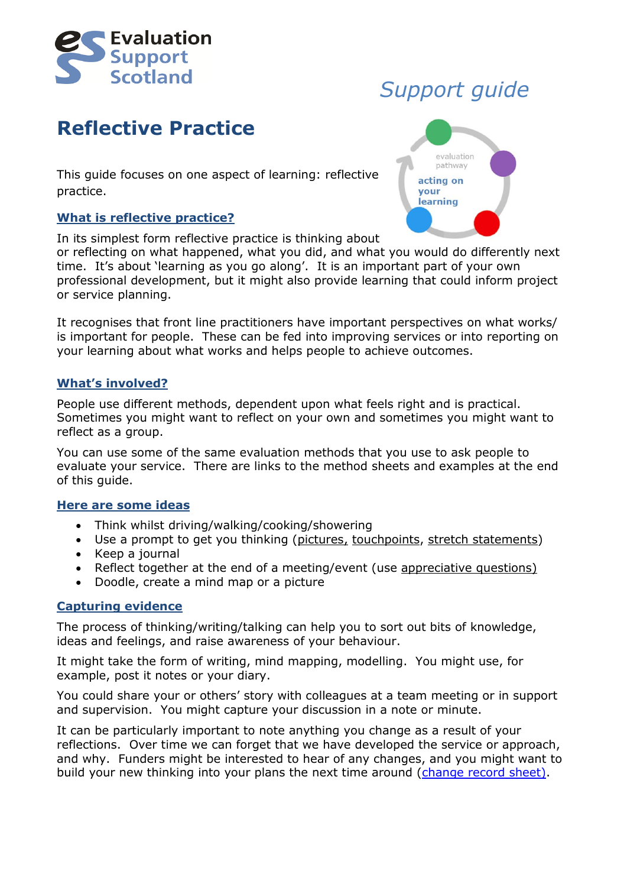

## **Reflective Practice**

This guide focuses on one aspect of learning: reflective practice.

### **What is reflective practice?**

In its simplest form reflective practice is thinking about

or reflecting on what happened, what you did, and what you would do differently next time. It's about 'learning as you go along'. It is an important part of your own professional development, but it might also provide learning that could inform project or service planning.

It recognises that front line practitioners have important perspectives on what works/ is important for people. These can be fed into improving services or into reporting on your learning about what works and helps people to achieve outcomes.

#### **What's involved?**

People use different methods, dependent upon what feels right and is practical. Sometimes you might want to reflect on your own and sometimes you might want to reflect as a group.

You can use some of the same evaluation methods that you use to ask people to evaluate your service. There are links to the method sheets and examples at the end of this guide.

#### **Here are some ideas**

- Think whilst driving/walking/cooking/showering
- Use a prompt to get you thinking [\(pictures,](http://www.evaluationsupportscotland.org.uk/resources/356/) [touchpoints, stretch statements\)](http://www.evaluationsupportscotland.org.uk/resources/399/)
- $\bullet$  Keep a journal
- Reflect together at the end of a meeting/event (use [appreciative questions\)](http://evaluationsupportscotland.org.uk/media/uploads/resources/method_sheet_appreciative_questions.pdf)
- Doodle, create a mind map or a picture

#### **Capturing evidence**

The process of thinking/writing/talking can help you to sort out bits of knowledge, ideas and feelings, and raise awareness of your behaviour.

It might take the form of writing, mind mapping, modelling. You might use, for example, post it notes or your diary.

You could share your or others' story with colleagues at a team meeting or in support and supervision. You might capture your discussion in a note or minute.

It can be particularly important to note anything you change as a result of your reflections. Over time we can forget that we have developed the service or approach, and why. Funders might be interested to hear of any changes, and you might want to build your new thinking into your plans the next time around [\(change record sheet\)](http://www.evaluationsupportscotland.org.uk/resources/409/).

# *Support guide*

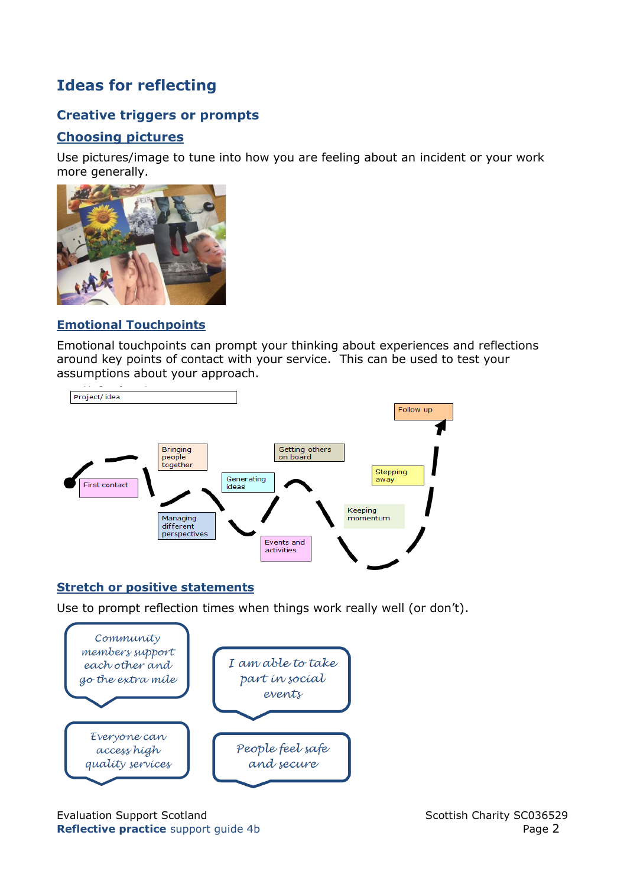## **Ideas for reflecting**

## **Creative triggers or prompts**

## **[Choosing pictures](http://www.evaluationsupportscotland.org.uk/media/uploads/resources/pdf_method_-_choosing_pictures.pdf)**

Use pictures/image to tune into how you are feeling about an incident or your work more generally.



## **[Emotional Touchpoints](http://www.evaluationsupportscotland.org.uk/media/uploads/resources/emotional_touchpoints_method_sheet_april_2017.pdf)**

Emotional touchpoints can prompt your thinking about experiences and reflections around key points of contact with your service. This can be used to test your assumptions about your approach.



## **[Stretch or positive statements](http://www.evaluationsupportscotland.org.uk/media/uploads/resources/strethc_statements.pdf)**

Use to prompt reflection times when things work really well (or don't).



Evaluation Support Scotland Support Scotland Scottish Charity SC036529 **Reflective practice** support guide 4b **Page 2** Page 2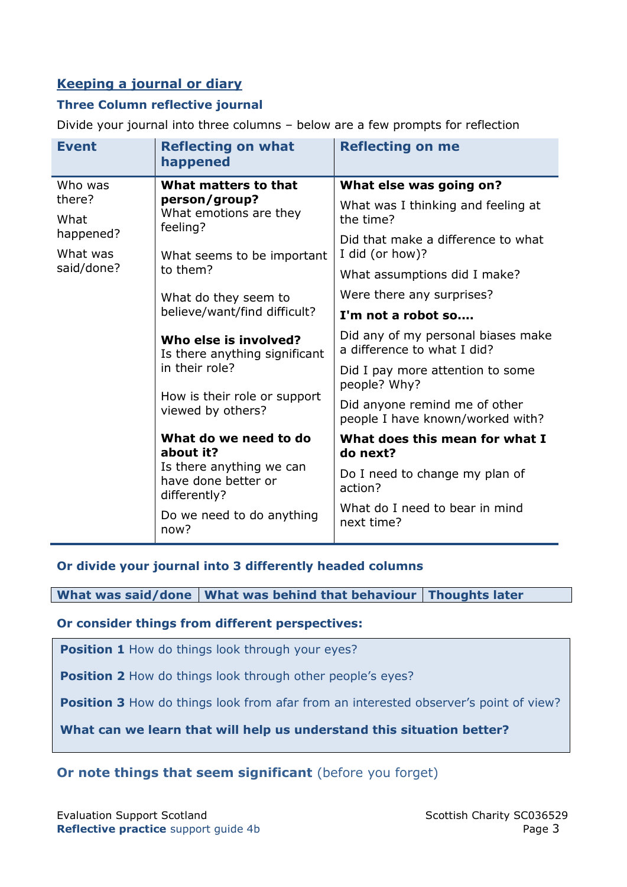## **Keeping a journal or diary**

## **Three Column reflective journal**

Divide your journal into three columns – below are a few prompts for reflection

| <b>Event</b>                        | <b>Reflecting on what</b><br>happened                                                                                         | <b>Reflecting on me</b>                                           |
|-------------------------------------|-------------------------------------------------------------------------------------------------------------------------------|-------------------------------------------------------------------|
| Who was                             | What matters to that<br>person/group?<br>What emotions are they<br>feeling?                                                   | What else was going on?                                           |
| there?<br>What                      |                                                                                                                               | What was I thinking and feeling at<br>the time?                   |
| happened?<br>What was<br>said/done? | What seems to be important<br>to them?                                                                                        | Did that make a difference to what<br>I did (or how)?             |
|                                     |                                                                                                                               | What assumptions did I make?                                      |
|                                     | What do they seem to<br>believe/want/find difficult?                                                                          | Were there any surprises?                                         |
|                                     |                                                                                                                               | I'm not a robot so                                                |
|                                     | Who else is involved?<br>Is there anything significant<br>in their role?<br>How is their role or support<br>viewed by others? | Did any of my personal biases make<br>a difference to what I did? |
|                                     |                                                                                                                               | Did I pay more attention to some<br>people? Why?                  |
|                                     |                                                                                                                               | Did anyone remind me of other<br>people I have known/worked with? |
|                                     | What do we need to do<br>about it?                                                                                            | What does this mean for what I<br>do next?                        |
|                                     | Is there anything we can<br>have done better or<br>differently?                                                               | Do I need to change my plan of<br>action?                         |
|                                     | Do we need to do anything<br>now?                                                                                             | What do I need to bear in mind<br>next time?                      |

## **Or divide your journal into 3 differently headed columns**

**What was said/done What was behind that behaviour Thoughts later**

## **Or consider things from different perspectives:**

**Position 1** How do things look through your eyes?

**Position 2** How do things look through other people's eyes?

**Position 3** How do things look from afar from an interested observer's point of view?

**What can we learn that will help us understand this situation better?**

## **Or note things that seem significant** (before you forget)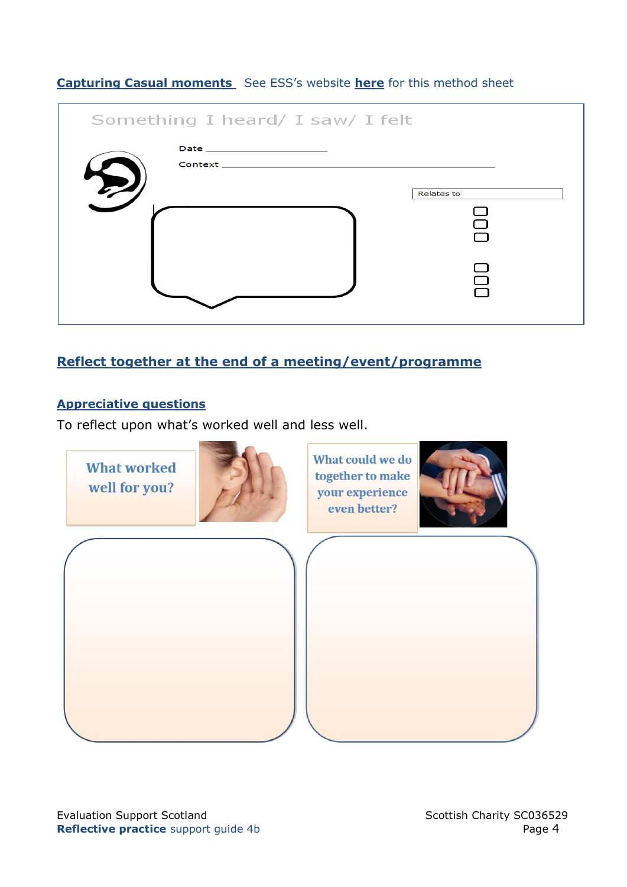|  | <b>Capturing Casual moments</b> See ESS's website <b>here</b> for this method sheet |
|--|-------------------------------------------------------------------------------------|
|--|-------------------------------------------------------------------------------------|

| Something I heard/ I saw/ I felt |                               |                        |
|----------------------------------|-------------------------------|------------------------|
|                                  | Date ________________________ |                        |
|                                  |                               | <b>Relates to</b><br>∩ |
|                                  |                               |                        |

## **Reflect together at the end of a meeting/event/programme**

## **Appreciative questions**

To reflect upon what's worked well and less well.

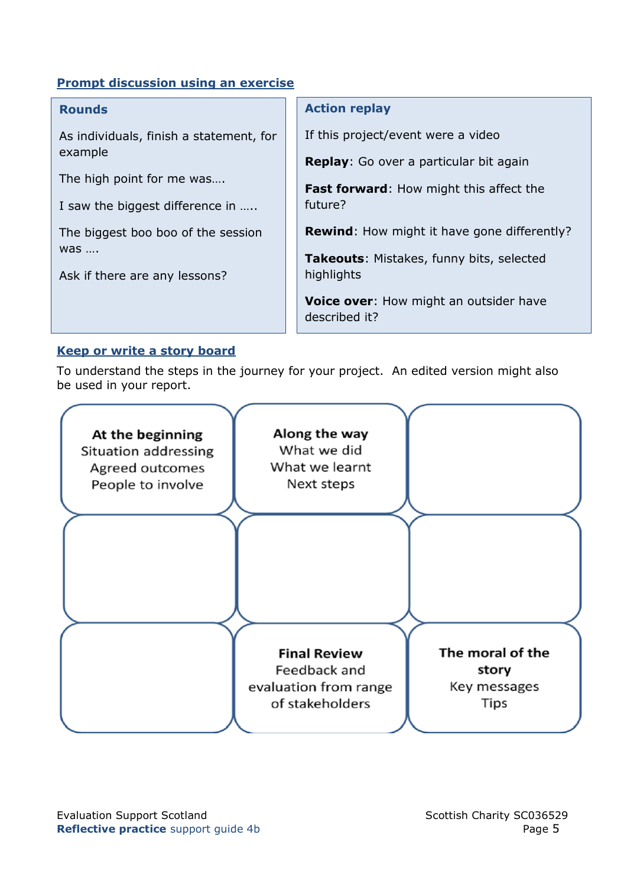## **Prompt discussion using an exercise**

#### **Rounds**

As individuals, finish a statement, for example

The high point for me was….

I saw the biggest difference in …..

The biggest boo boo of the session was ….

Ask if there are any lessons?

#### **Action replay**

If this project/event were a video

**Replay**: Go over a particular bit again

**Fast forward**: How might this affect the future?

**Rewind**: How might it have gone differently?

**Takeouts**: Mistakes, funny bits, selected highlights

**Voice over**: How might an outsider have described it?

## **Keep or write a story board**

To understand the steps in the journey for your project. An edited version might also be used in your report.